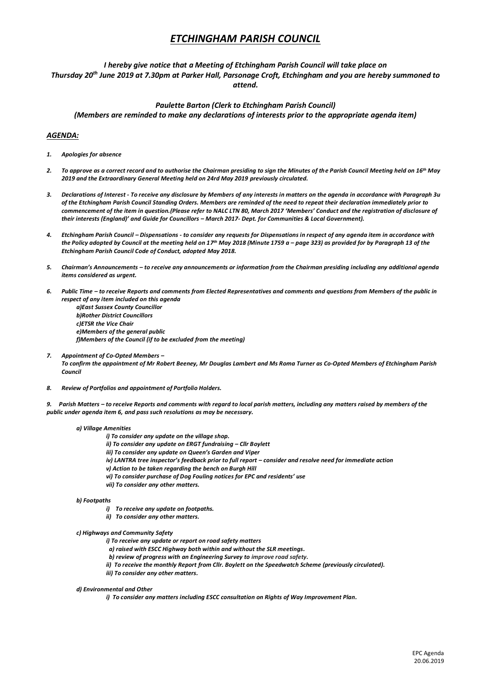# *ETCHINGHAM PARISH COUNCIL*

## *I hereby give notice that a Meeting of Etchingham Parish Council will take place on Thursday 20th June 2019 at 7.30pm at Parker Hall, Parsonage Croft, Etchingham and you are hereby summoned to attend.*

## *Paulette Barton (Clerk to Etchingham Parish Council) (Members are reminded to make any declarations of interests prior to the appropriate agenda item)*

### *AGENDA:*

- *1. Apologies for absence*
- *2. To approve as a correct record and to authorise the Chairman presiding to sign the Minutes of the Parish Council Meeting held on 16th May 2019 and the Extraordinary General Meeting held on 24rd May 2019 previously circulated.*
- *3. Declarations of Interest - To receive any disclosure by Members of any interests in matters on the agenda in accordance with Paragraph 3u of the Etchingham Parish Council Standing Orders. Members are reminded of the need to repeat their declaration immediately prior to commencement of the item in question.(Please refer to NALC LTN 80, March 2017 'Members' Conduct and the registration of disclosure of their interests (England)' and Guide for Councillors – March 2017- Dept. for Communities & Local Government).*
- *4. Etchingham Parish Council – Dispensations - to consider any requests for Dispensations in respect of any agenda item in accordance with the Policy adopted by Council at the meeting held on 17 th May 2018 (Minute 1759 a – page 323) as provided for by Paragraph 13 of the Etchingham Parish Council Code of Conduct, adopted May 2018.*
- *5. Chairman's Announcements – to receive any announcements or information from the Chairman presiding including any additional agenda items considered as urgent.*
- *6. Public Time – to receive Reports and comments from Elected Representatives and comments and questions from Members of the public in respect of any item included on this agenda* 
	- *a)East Sussex County Councillor b)Rother District Councillors c)ETSR the Vice Chair e)Members of the general public f)Members of the Council (if to be excluded from the meeting)*
- *7. Appointment of Co-Opted Members – To confirm the appointment of Mr Robert Beeney, Mr Douglas Lambert and Ms Roma Turner as Co-Opted Members of Etchingham Parish Council*
- *8. Review of Portfolios and appointment of Portfolio Holders.*
- *9. Parish Matters – to receive Reports and comments with regard to local parish matters, including any matters raised by members of the public under agenda item 6, and pass such resolutions as may be necessary.*

#### *a) Village Amenities*

- *i) To consider any update on the village shop.*
- *ii) To consider any update on ERGT fundraising – Cllr Boylett*
- *iii) To consider any update on Queen's Garden and Viper*
- *iv) LANTRA tree inspector's feedback prior to full report – consider and resolve need for immediate action*
	- *v) Action to be taken regarding the bench on Burgh Hill*
	- *vi) To consider purchase of Dog Fouling notices for EPC and residents' use*
	- *vii) To consider any other matters.*

#### *b) Footpaths*

- *i) To receive any update on footpaths.*
- *ii) To consider any other matters.*
- *c) Highways and Community Safety*
	- *i) To receive any update or report on road safety matters*
	- *a) raised with ESCC Highway both within and without the SLR meetings.*
	- *b) review of progress with an Engineering Survey to improve road safety.*
	- *ii) To receive the monthly Report from Cllr. Boylett on the Speedwatch Scheme (previously circulated).*
	- *iii) To consider any other matters.*

#### *d) Environmental and Other*

*i) To consider any matters including ESCC consultation on Rights of Way Improvement Plan.*